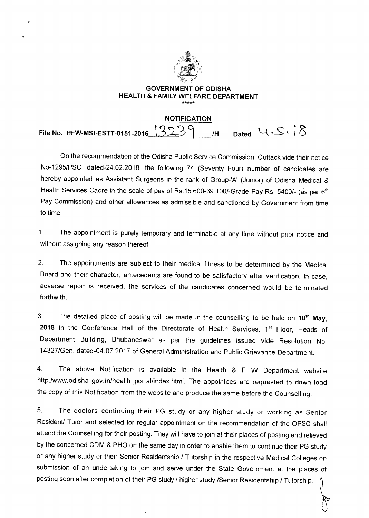

## **GOVERNMENT OF ODISHA HEALTH & FAMILY WELFARE DEPARTMENT**

## **NOTIFICATION**  File No. HFW-MSI-ESTT-0151-2016  $13239$  /H Dated  $4.5.18$

On the recommendation of the Odisha Public Service Commission, Cuttack vide their notice No-1295/PSC, dated-24.02.2018, the following 74 (Seventy Four) number of candidates are hereby appointed as Assistant Surgeons in the rank of Group-'A' (Junior) of Odisha Medical & Health Services Cadre in the scale of pay of Rs.15.600-39.100/-Grade Pay Rs. 5400/- (as per 6<sup>th</sup> Pay Commission) and other allowances as admissible and sanctioned by Government from time to time.

1. The appointment is purely temporary and terminable at any time without prior notice and without assigning any reason thereof.

2. The appointments are subject to their medical fitness to be determined by the Medical Board and their character, antecedents are found-to be satisfactory after verification. In case, adverse report is received, the services of the candidates concerned would be terminated forthwith.

3. The detailed place of posting will be made in the counselling to be held on 10<sup>th</sup> May, 2018 in the Conference Hall of the Directorate of Health Services, 1<sup>st</sup> Floor, Heads of Department Building, Bhubaneswar as per the guidelines issued vide Resolution No-14327/Gen, dated-04.07.2017 of General Administration and Public Grievance Department.

4. The above Notification is available in the Health & F W Department website http./www.odisha gov.in/heallh\_portal/index.html. The appointees are requested to down load the copy of this Notification from the website and produce the same before the Counselling.

5. The doctors continuing their PG study or any higher study or working as Senior Resident/ Tutor and selected for regular appointment on the recommendation of the OPSC shall attend the Counselling for their posting. They will have to join at their places of posting and relieved by the concerned CDM & PHO on the same day in order to enable them to continue their PG study or any higher study or their Senior Residentship / Tutorship in the respective Medical Colleges on submission of an undertaking to join and serve under the State Government at the places of posting soon after completion of their PG study / higher study /Senior Residentship / Tutorship.

 $\mathbf{I}$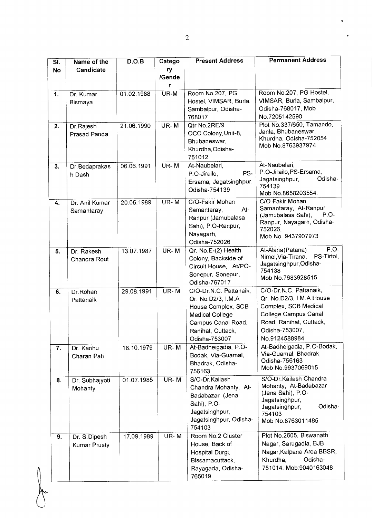| SI.<br><b>No</b> | Name of the<br>Candidate            | D.O.B      | Catego<br>ry<br>/Gende | <b>Present Address</b>                                                                                                                                    | <b>Permanent Address</b>                                                                                                                                         |
|------------------|-------------------------------------|------------|------------------------|-----------------------------------------------------------------------------------------------------------------------------------------------------------|------------------------------------------------------------------------------------------------------------------------------------------------------------------|
| $\overline{1}$ . | Dr. Kumar<br>Bismaya                | 01.02.1988 | UR-M                   | Room No.207, PG<br>Hostel, VIMSAR, Burla,<br>Sambalpur, Odisha-<br>768017                                                                                 | Room No.207, PG Hostel,<br>VIMSAR, Burla, Sambalpur,<br>Odisha-768017, Mob<br>No.7205142590                                                                      |
| $\overline{2}$ . | Dr. Rajesh<br>Prasad Panda          | 21.06.1990 | UR-M                   | Qtr No.2RE/9<br>OCC Colony, Unit-8,<br>Bhubaneswar,<br>Khurdha, Odisha-<br>751012                                                                         | Plot No.337/650, Tamando,<br>Janla, Bhubaneswar,<br>Khurdha, Odisha-752054<br>Mob No.8763937974                                                                  |
| 3.               | Dr. Bedaprakas<br>h Dash            | 06.06.1991 | UR-M                   | At-Naubelari,<br>PS-<br>P.O-Jirailo,<br>Ersama, Jagatsinghpur,<br>Odisha-754139                                                                           | At-Naubelari,<br>P.O-Jirailo, PS-Ersama,<br>Odisha-<br>Jagatsinghpur,<br>754139<br>Mob No.8658203554.                                                            |
| 4.               | Dr. Anil Kumar<br>Samantaray        | 20.05.1989 | UR-M                   | C/O-Fakir Mohan<br>At-<br>Samantaray,<br>Ranpur (Jamubalasa<br>Sahi), P.O-Ranpur,<br>Nayagarh,<br>Odisha-752026                                           | C/O-Fakir Mohan<br>Samantaray, At-Ranpur<br>(Jamubalasa Sahi),<br>$P.O-$<br>Ranpur, Nayagarh, Odisha-<br>752026,<br>Mob No. 9437907973                           |
| 5.               | Dr. Rakesh<br>Chandra Rout          | 13.07.1987 | UR-M                   | Qr. No.E-(2) Health<br>Colony, Backside of<br>Circuit House, At/PO-<br>Sonepur, Sonepur,<br>Odisha-767017                                                 | $P.O-$<br>At-Alana(Patana)<br>Nimol, Via-Tirana,<br>PS-Tirtol,<br>Jagatsinghpur, Odisha-<br>754138<br>Mob No.7683928515                                          |
| 6.               | Dr.Rohan<br>Pattanaik               | 29.08.1991 | UR-M                   | C/O-Dr.N.C. Pattanaik,<br>Qr. No.D2/3, I.M.A.<br>House Complex, SCB<br><b>Medical College</b><br>Campus Canal Road,<br>Ranihat, Cuttack,<br>Odisha-753007 | C/O-Dr.N.C. Pattanaik,<br>Qr. No.D2/3, I.M.A House<br>Complex, SCB Medical<br>College Campus Canal<br>Road, Ranihat, Cuttack,<br>Odisha-753007,<br>No.9124588984 |
| 7.               | Dr. Kanhu<br>Charan Pati            | 18.10.1979 | UR-M                   | At-Badheigadia, P.O-<br>Bodak, Via-Guamal,<br>Bhadrak, Odisha-<br>756163                                                                                  | At-Badheigadia, P.O-Bodak,<br>Via-Guamal, Bhadrak,<br>Odisha-756163<br>Mob No.9937069015                                                                         |
| 8.               | Dr. Subhajyoti<br>Mohanty           | 01.07.1985 | UR-M                   | S/O-Dr.Kailash<br>Chandra Mohanty, At-<br>Badabazar (Jena<br>Sahi), P.O-<br>Jagatsinghpur,<br>Jagatsinghpur, Odisha-<br>754103                            | S/O-Dr. Kailash Chandra<br>Mohanty, At-Badabazar<br>(Jena Sahi), P.O-<br>Jagatsinghpur,<br>Odisha-<br>Jagatsinghpur,<br>754103<br>Mob No.8763011485              |
| $\overline{9}$ . | Dr. S.Dipesh<br><b>Kumar Prusty</b> | 17.09.1989 | UR-M                   | Room No.2 Cluster<br>House, Back of<br>Hospital Durgi,<br>Bissamacuttack,<br>Rayagada, Odisha-<br>765019                                                  | Plot No.2605, Biswanath<br>Nagar, Sarugadia, BJB<br>Nagar, Kalpana Area BBSR,<br>Odisha-<br>Khurdha,<br>751014, Mob:9040163048                                   |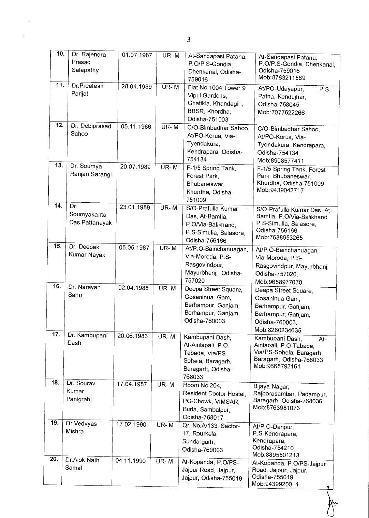| 10. | Dr. Rajendra   | 01.07.1987 | UR-M     | At-Sandapasi Patana,          | At-Sandapasi Patana,                               |
|-----|----------------|------------|----------|-------------------------------|----------------------------------------------------|
|     | Prasad         |            |          | P.O/P.S-Gondia,               | P.O/P.S-Gondia, Dhenkanal,                         |
|     | Satapathy      |            |          | Dhenkanal, Odisha-            | Odisha-759016                                      |
|     |                |            |          | 759016                        | Mob: 8763211589                                    |
| 11. | Dr. Preetesh   | 28.04.1989 | $UR - M$ | Flat No. 1004 Tower 9         | At/PO-Udayapur,<br>P.S                             |
|     | Parijat        |            |          | Vipul Gardens,                | Patna, Kendujhar,                                  |
|     |                |            |          | Ghatikia, Khandagiri,         | Odisha-758045,                                     |
|     |                |            |          | BBSR, Khordha,                | Mob:7077622266                                     |
|     |                |            |          | Odisha-751003                 |                                                    |
| 12. | Dr. Debiprasad | 05.11.1986 | UR-M     | C/O-Bimbadhar Sahoo,          |                                                    |
|     | Sahoo          |            |          | At/PO-Korua, Via-             | C/O-Bimbadhar Sahoo,                               |
|     |                |            |          | Tyendakura,                   | At/PO-Korua, Via-                                  |
|     |                |            |          |                               | Tyendakura, Kendrapara,                            |
|     |                |            |          | Kendrapara, Odisha-<br>754134 | Odisha-754134,                                     |
| 13. | Dr. Soumya     | 20.07.1989 |          |                               | Mob:8908577411                                     |
|     | Ranjan Sarangi |            | UR-M     | F-1/5 Spring Tank,            | F-1/5 Spring Tank, Forest                          |
|     |                |            |          | Forest Park,                  | Park, Bhubaneswar,                                 |
|     |                |            |          | Bhubaneswar,                  | Khurdha, Odisha-751009<br>Mob:9439042717           |
|     |                |            |          | Khurdha, Odisha-              |                                                    |
| 14. |                |            |          | 751009                        |                                                    |
|     | Dr.            | 23.01.1989 | UR-M     | S/O-Prafulla Kumar            | S/O-Prafulla Kumar Das, At-                        |
|     | Soumyakanta    |            |          | Das, At-Bamtia,               | Bamtia, P.O/Via-Balikhand,                         |
|     | Das Pattanayak |            |          | P.O/Via-Balikhand,            | P.S-Simulia, Balasore,                             |
|     |                |            |          | P.S-Simulia, Balasore,        | Odisha-756166                                      |
|     |                |            |          | Odisha-756166                 | Mob:7538953265                                     |
| 15. | Dr. Deepak     | 05.05.1987 | $UR - M$ | At/P.O-Bainchanuagan,         | At/P.O-Bainchanuagan,                              |
|     | Kumar Nayak    |            |          | Via-Moroda, P.S-              | Via-Moroda, P.S-                                   |
|     |                |            |          | Rasgovindpur,                 | Rasgovindpur, Mayurbhanj,                          |
|     |                |            |          | Mayurbhanj, Odisha-           | Odisha-757020,                                     |
|     |                |            |          | 757020                        | Mob:9658977070                                     |
| 16. | Dr. Narayan    | 02.04.1988 | UR-M     | Deepa Street Square,          | Deepa Street Square,                               |
|     | Sahu           |            |          | Gosaninua Gam,                | Gosaninua Gam,                                     |
|     |                |            |          | Berhampur, Ganjam,            | Berhampur, Ganjam,                                 |
|     |                |            |          | Berhampur, Ganjam,            |                                                    |
|     |                |            |          | Odisha-760003                 | Berhampur, Ganjam,                                 |
|     |                |            |          |                               | Odisha-760003,                                     |
| 17. | Dr. Kambupani  | 20.06.1983 | UR-M     |                               | Mob:8280234635                                     |
|     | Dash           |            |          | Kambupani Dash,               | Kambupani Dash.<br>At-                             |
|     |                |            |          | At-Ainlapali, P.O-            | Ainlapali, P.O-Tabada,<br>Via/PS-Sohela, Baragarh, |
|     |                |            |          | Tabada, Via/PS-               | Baragarh, Odisha-768033                            |
|     |                |            |          | Sohela, Baragarh,             | Mob:9668792161                                     |
|     |                |            |          | Baragarh, Odisha-             |                                                    |
| 18. | Dr. Sourav     |            |          | 768033                        |                                                    |
|     | Kumar          | 17.04.1987 | $UR - M$ | Room No.204,                  | Bijaya Nagar,                                      |
|     |                |            |          | Resident Doctor Hostel,       | Rajborasambar, Padampur,                           |
|     | Panigrahi      |            |          | PG-Chowk, VIMSAR,             | Baragarh, Odisha-768036                            |
|     |                |            |          | Burla, Sambalpur,             | Mob:8763981073                                     |
|     |                |            |          | Odisha-768017                 |                                                    |
| 19. | Dr. Vedvyas    | 17.02.1990 | UR-M     | Qr. No.A/133, Sector-         | At/P.O-Danpur,                                     |
|     | Mishra         |            |          | 17, Rourkela,                 | P.S-Kendrapara,                                    |
|     |                |            |          | Sundargarh,                   | Kendrapara,                                        |
|     |                |            |          | Odisha-769003                 | Odisha-754210                                      |
| 20. |                |            |          |                               | Mob:8895501213                                     |
|     | Dr.Alok Nath   | 04.11.1990 | UR-M     | At-Kopanda, P.O/PS-           | At-Kopanda, P.O/PS-Jajpur                          |
|     | Samal          |            |          | Jajpur Road, Jajpur,          | Road, Jajpur, Jajpur,                              |
|     |                |            |          | Jajpur, Odisha-755019         | Odisha-755019                                      |
|     |                |            |          |                               | Mob: 9439920014                                    |

3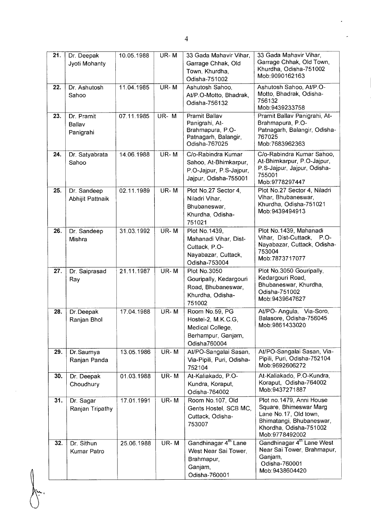| 21.               | Dr. Deepak<br>Jyoti Mohanty       | 10.05.1988 | UR-M     | 33 Gada Mahavir Vihar,<br>Garrage Chhak, Old<br>Town, Khurdha,<br>Odisha-751002                    | 33 Gada Mahavir Vihar,<br>Garrage Chhak, Old Town,<br>Khurdha, Odisha-751002<br>Mob: 9090162163                                                     |
|-------------------|-----------------------------------|------------|----------|----------------------------------------------------------------------------------------------------|-----------------------------------------------------------------------------------------------------------------------------------------------------|
| 22.               | Dr. Ashutosh<br>Sahoo             | 11.04.1985 | UR-M     | Ashutosh Sahoo,<br>At/P.O-Motto, Bhadrak,<br>Odisha-756132                                         | Ashutosh Sahoo, At/P.O-<br>Motto, Bhadrak, Odisha-<br>756132<br>Mob: 9439233758                                                                     |
| 23.               | Dr. Pramit<br>Ballav<br>Panigrahi | 07.11.1985 | UR-M     | Pramit Ballav<br>Panigrahi, At-<br>Brahmapura, P.O-<br>Patnagarh, Balangir,<br>Odisha-767025       | Pramit Ballav Panigrahi, At-<br>Brahmapura, P.O-<br>Patnagarh, Balangir, Odisha-<br>767025<br>Mob:7683962363                                        |
| 24.               | Dr. Satyabrata<br>Sahoo           | 14.06.1988 | UR-M     | C/o-Rabindra Kumar<br>Sahoo, At-Bhimkarpur,<br>P.O-Jajpur, P.S-Jajpur,<br>Jajpur, Odisha-755001    | C/o-Rabindra Kumar Sahoo,<br>At-Bhimkarpur, P.O-Jajpur,<br>P.S-Jajpur, Jajpur, Odisha-<br>755001<br>Mob: 9778297447                                 |
| 25.               | Dr. Sandeep<br>Abhijit Pattnaik   | 02.11.1989 | $UR - M$ | Plot No.27 Sector 4,<br>Niladri Vihar,<br>Bhubaneswar,<br>Khurdha, Odisha-<br>751021               | Plot No.27 Sector 4, Niladri<br>Vihar, Bhubaneswar,<br>Khurdha, Odisha-751021<br>Mob: 9439494913                                                    |
| 26.               | Dr. Sandeep<br>Mishra             | 31.03.1992 | UR-M     | Plot No. 1439,<br>Mahanadi Vihar, Dist-<br>Cuttack, P.O-<br>Nayabazar, Cuttack,<br>Odisha-753004   | Plot No.1439, Mahanadi<br>Vihar, Dist-Cuttack,<br>P.O-<br>Nayabazar, Cuttack, Odisha-<br>753004<br>Mob: 7873717077                                  |
| 27.               | Dr. Saiprasad<br>Ray              | 21.11.1987 | UR-M     | Plot No.3050<br>Gouripally, Kedargouri<br>Road, Bhubaneswar,<br>Khurdha, Odisha-<br>751002         | Plot No.3050 Gouripally,<br>Kedargouri Road,<br>Bhubaneswar, Khurdha,<br>Odisha-751002<br>Mob: 9439647627                                           |
| 28.               | Dr.Deepak<br>Ranjan Bhol          | 17.04.1988 | UR-M     | Room No.59, PG<br>Hostel-2, M.K.C.G,<br>Medical College,<br>Berhampur, Ganjam,<br>Odisha760004     | At/PO- Angula, Via-Soro,<br>Balasore, Odisha-756045<br>Mob: 9861433020                                                                              |
| 29.               | Dr.Saumya<br>Ranjan Panda         | 13.05.1986 | UR-M     | At/PO-Sangalai Sasan,<br>Via-Pipili, Puri, Odisha-<br>752104                                       | At/PO-Sangalai Sasan, Via-<br>Pipili, Puri, Odisha-752104<br>Mob:9692606272                                                                         |
| 30.               | Dr. Deepak<br>Choudhury           | 01.03.1988 | UR-M     | At-Kaliakado, P.O-<br>Kundra, Koraput,<br>Odisha-764002                                            | At-Kaliakado, P.O-Kundra,<br>Koraput, Odisha-764002<br>Mob: 9437271887                                                                              |
| $\overline{31}$ . | Dr. Sagar<br>Ranjan Tripathy      | 17.01.1991 | UR-M     | Room No.107, Old<br>Gents Hostel, SCB MC,<br>Cuttack, Odisha-<br>753007                            | Plot no.1479, Anni House<br>Square, Bhimeswar Marg<br>Lane No.17, Old town,<br>Bhimatangi, Bhubaneswar,<br>Khordha, Odisha-751002<br>Mob:9778492002 |
| 32.               | Dr. Sithun<br>Kumar Patro         | 25.06.1988 | UR-M     | Gandhinagar 4 <sup>th</sup> Lane<br>West Near Sai Tower,<br>Brahmapur,<br>Ganjam,<br>Odisha-760001 | Gandhinagar 4 <sup>th</sup> Lane West<br>Near Sai Tower, Brahmapur,<br>Ganjam,<br>Odisha-760001<br>Mob: 9438604420                                  |

 $\bigwedge_{\mathcal{L}}$ 

4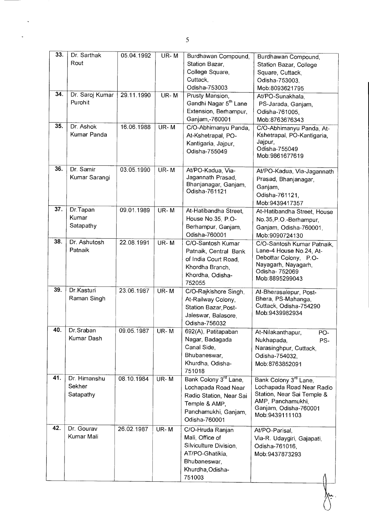| 33.<br>34.<br>35. | Dr. Sarthak<br>Rout<br>Dr. Saroj Kumar<br>Purohit<br>Dr. Ashok<br>Kumar Panda | 05.04.1992<br>29.11.1990<br>16.06.1988 | UR-M<br>UR-M<br>UR-M | Burdhawan Compound,<br>Station Bazar,<br>College Square,<br>Cuttack,<br>Odisha-753003<br>Prusty Mansion,<br>Gandhi Nagar 5 <sup>th</sup> Lane<br>Extension, Berhampur,<br>Ganjam,-760001<br>C/O-Abhimanyu Panda,<br>At-Kshetrapal, PO-<br>Kantigaria, Jajpur,<br>Odisha-755049 | Burdhawan Compound,<br>Station Bazar, College<br>Square, Cuttack,<br>Odisha-753003,<br>Mob:8093621795<br>At/PO-Sunakhala,<br>PS-Jarada, Ganjam,<br>Odisha-761005,<br>Mob:8763676343<br>C/O-Abhimanyu Panda, At-<br>Kshetrapal, PO-Kantigaria,<br>Jajpur,<br>Odisha-755049<br>Mob: 9861677619 |
|-------------------|-------------------------------------------------------------------------------|----------------------------------------|----------------------|--------------------------------------------------------------------------------------------------------------------------------------------------------------------------------------------------------------------------------------------------------------------------------|----------------------------------------------------------------------------------------------------------------------------------------------------------------------------------------------------------------------------------------------------------------------------------------------|
| 36.               | Dr. Samir<br>Kumar Sarangi                                                    | 03.05.1990                             | UR-M                 | At/PO-Kadua, Via-<br>Jagannath Prasad,<br>Bhanjanagar, Ganjam,<br>Odisha-761121                                                                                                                                                                                                | At/PO-Kadua, Via-Jagannath<br>Prasad, Bhanjanagar,<br>Ganjam,<br>Odisha-761121.<br>Mob:9439417357                                                                                                                                                                                            |
| 37.               | Dr.Tapan<br>Kumar<br>Satapathy                                                | 09.01.1989                             | UR-M                 | At-Hatibandha Street.<br>House No.35, P.O-<br>Berhampur, Ganjam,<br>Odisha-760001                                                                                                                                                                                              | At-Hatibandha Street, House<br>No.35, P.O.-Berhampur,<br>Ganjam, Odisha-760001,<br>Mob:9090724130                                                                                                                                                                                            |
| 38.               | Dr. Ashutosh<br>Patnaik                                                       | 22.08.1991                             | UR-M                 | C/O-Santosh Kumar<br>Patnaik, Central Bank<br>of India Court Road,<br>Khordha Branch,<br>Khordha, Odisha-<br>752055                                                                                                                                                            | C/O-Santosh Kumar Patnaik.<br>Lane-4 House No.24, At-<br>Debottar Colony, P.O-<br>Nayagarh, Nayagarh,<br>Odisha- 752069<br>Mob:8895299043                                                                                                                                                    |
| 39.               | Dr. Kasturi<br>Raman Singh                                                    | 23.06.1987                             | UR-M                 | C/O-Rajkishore Singh,<br>At-Railway Colony,<br>Station Bazar, Post-<br>Jaleswar, Balasore,<br>Odisha-756032                                                                                                                                                                    | At-Bherasalepur, Post-<br>Bhera, PS-Mahanga,<br>Cuttack, Odisha-754290<br>Mob:9439982934                                                                                                                                                                                                     |
| 40.               | Dr.Sraban<br>Kumar Dash                                                       | 09.05.1987                             | $UR - M$             | 692(A), Patitapaban<br>Nagar, Badagada<br>Canal Side,<br>Bhubaneswar,<br>Khurdha, Odisha-<br>751018                                                                                                                                                                            | At-Nilakanthapur,<br>PO-<br>Nukhapada,<br>PS-<br>Narasinghpur, Cuttack,<br>Odisha-754032,<br>Mob:8763852091                                                                                                                                                                                  |
| 41.               | Dr. Himanshu<br>Sekher<br>Satapathy                                           | 08.10.1984                             | UR-M                 | Bank Colony 3 <sup>rd</sup> Lane,<br>Lochapada Road Near<br>Radio Station, Near Sai<br>Temple & AMP,<br>Panchamukhi, Ganjam,<br>Odisha-760001                                                                                                                                  | Bank Colony 3 <sup>rd</sup> Lane,<br>Lochapada Road Near Radio<br>Station, Near Sai Temple &<br>AMP, Panchamukhi,<br>Ganjam, Odisha-760001<br>Mob: 9439111103                                                                                                                                |
| 42.               | Dr. Gourav<br>Kumar Mali                                                      | 26.02.1987                             | UR-M                 | C/O-Hruda Ranjan<br>Mali, Office of<br>Silviculture Division,<br>AT/PO-Ghatikia,<br>Bhubaneswar,<br>Khurdha, Odisha-<br>751003                                                                                                                                                 | At/PO-Parisal,<br>Via-R. Udaygiri, Gajapati,<br>Odisha-761016,<br>Mob: 9437873293                                                                                                                                                                                                            |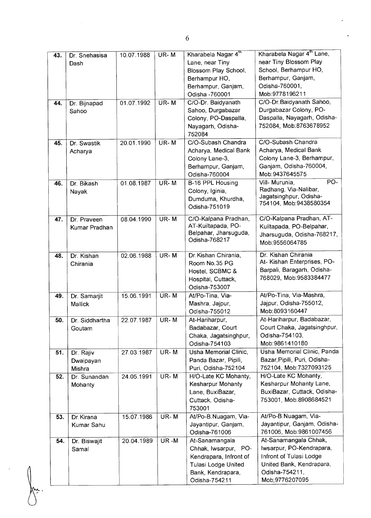| 43. | Dr. Snehasisa     | 10.07.1988 | UR-M | Kharabela Nagar 4th    | Kharabela Nagar 4 <sup>th</sup> Lane,           |
|-----|-------------------|------------|------|------------------------|-------------------------------------------------|
|     | Dash              |            |      | Lane, near Tiny        | near Tiny Blossom Play                          |
|     |                   |            |      | Blossom Play School,   | School, Berhampur HO,                           |
|     |                   |            |      | Berhampur HO,          | Berhampur, Ganjam,                              |
|     |                   |            |      | Berhampur, Ganjam,     | Odisha-760001,                                  |
|     |                   |            |      | Odisha -760001         | Mob.9778196211                                  |
| 44. | Dr. Bijnapad      | 01.07.1992 | UR-M | C/O-Dr. Baidyanath     | C/O-Dr. Baidyanath Sahoo,                       |
|     | Sahoo             |            |      | Sahoo, Durgabazar      | Durgabazar Colony, PO-                          |
|     |                   |            |      | Colony, PO-Daspalla,   | Daspalla, Nayagarh, Odisha-                     |
|     |                   |            |      | Nayagarh, Odisha-      | 752084, Mob:8763678952                          |
|     |                   |            |      | 752084                 |                                                 |
| 45. | Dr. Swastik       | 20.01.1990 | UR-M | C/O-Subash Chandra     | C/O-Subash Chandra                              |
|     | Acharya           |            |      | Acharya, Medical Bank  | Acharya, Medical Bank                           |
|     |                   |            |      | Colony Lane-3,         | Colony Lane-3, Berhampur,                       |
|     |                   |            |      | Berhampur, Ganjam,     | Ganjam, Odisha-760004,                          |
|     |                   |            |      | Odisha-760004          | Mob: 9437645575                                 |
| 46. | Dr. Bikash        | 01.08.1987 | UR-M | B-16 PPL Housing       | $\overline{PO}$ -<br>Vill- Murunia,             |
|     | Nayak             |            |      | Colony, Iginia,        | Radhang, Via-Nalibar,<br>Jagatsinghpur, Odisha- |
|     |                   |            |      | Dumduma, Khurdha,      | 754104, Mob: 9438580354                         |
|     |                   |            |      | Odisha-751019          |                                                 |
| 47. | Dr. Praveen       | 08.04.1990 | UR-M | C/O-Kalpana Pradhan,   | C/O-Kalpana Pradhan, AT-                        |
|     | Kumar Pradhan     |            |      | AT-Kuiltapada, PO-     | Kuiltapada, PO-Belpahar,                        |
|     |                   |            |      | Belpahar, Jharsuguda,  | Jharsuguda, Odisha-768217,                      |
|     |                   |            |      | Odisha-768217          | Mob: 9556064785                                 |
| 48. | Dr. Kishan        | 02.06.1988 | UR-M | Dr. Kishan Chirania,   | Dr. Kishan Chirania                             |
|     | Chirania          |            |      | Room No.35 PG          | At- Kishan Enterprises, PO-                     |
|     |                   |            |      | Hostel, SCBMC &        | Barpali, Baragarh, Odisha-                      |
|     |                   |            |      | Hospital, Cuttack,     | 768029, Mob:9583384477                          |
|     |                   |            |      | Odisha-753007          |                                                 |
| 49. | Dr. Samarjit      | 15.06.1991 | UR-M | At/Po-Tina, Via-       | At/Po-Tina, Via-Mashra,                         |
|     | Mallick           |            |      | Mashra, Jajpur,        | Jajpur, Odisha-755012,                          |
|     |                   |            |      | Odisha-755012          | Mob: 8093160447                                 |
| 50. | Dr. Siddhartha    | 22.07.1987 | UR-M | At-Hariharpur,         | At-Hariharpur, Badabazar,                       |
|     | Goutam            |            |      | Badabazar, Court       | Court Chaka, Jagatsinghpur,                     |
|     |                   |            |      | Chaka, Jagatsinghpur,  | Odisha-754103,                                  |
|     |                   |            |      | Odisha-754103          | Mob:9861410180                                  |
| 51. | Dr. Rajiv         | 27.03.1987 | UR-M | Usha Memorial Clinic,  | Usha Memorial Clinic, Panda                     |
|     | Dwaipayan         |            |      | Panda Bazar, Pipili,   | Bazar, Pipili, Puri, Odisha-                    |
|     | Mishra            |            |      | Puri, Odisha-752104    | 752104, Mob:7327093125                          |
| 52. | Dr. Sunandan      | 24.05.1991 | UR-M | H/O-Late KC Mohanty,   | H/O-Late KC Mohanty,                            |
|     | Mohanty           |            |      | Kesharpur Mohanty      | Kesharpur Mohanty Lane,                         |
|     |                   |            |      | Lane, BuxiBazar,       | BuxiBazar, Cuttack, Odisha-                     |
|     |                   |            |      | Cuttack, Odisha-       | 753001, Mob:8908684521                          |
|     |                   |            |      | 753001                 |                                                 |
| 53. | Dr. Kirana        | 15.07.1986 | UR-M | At/Po-B.Nuagam, Via-   | At/Po-B.Nuagam, Via-                            |
|     | <b>Kumar Sahu</b> |            |      | Jayantipur, Ganjam,    | Jayantipur, Ganjam, Odisha-                     |
|     |                   |            |      | Odisha-761006          | 761006, Mob:9861007456                          |
| 54. | Dr. Biswajit      | 20.04.1989 | UR-M | At-Sanamangala         | At-Sanamangala Chhak,                           |
|     | Samal             |            |      | Chhak, Iwsarpur, PO-   | Iwsarpur, PO-Kendrapara,                        |
|     |                   |            |      | Kendrapara, Infront of | Infront of Tulasi Lodge                         |
|     |                   |            |      | Tulasi Lodge United    | United Bank, Kendrapara,                        |
|     |                   |            |      | Bank, Kendrapara,      | Odisha-754211,                                  |
|     |                   |            |      | Odisha-754211          | Mob; 9776207095                                 |

6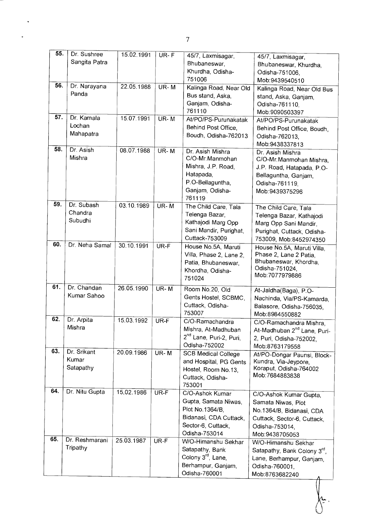| 55. | Dr. Sushree<br>Sangita Patra      | 15.02.1991 | $UR-F$   | 45/7, Laxmisagar,<br>Bhubaneswar,<br>Khurdha, Odisha-                                                                       | 45/7, Laxmisagar,<br>Bhubaneswar, Khurdha,<br>Odisha-751006,                                                                                 |
|-----|-----------------------------------|------------|----------|-----------------------------------------------------------------------------------------------------------------------------|----------------------------------------------------------------------------------------------------------------------------------------------|
| 56. | Dr. Narayana<br>Panda             | 22.05.1988 | $UR - M$ | 751006<br>Kalinga Road, Near Old<br>Bus stand, Aska,<br>Ganjam, Odisha-<br>761110                                           | Mob:9439540510<br>Kalinga Road, Near Old Bus<br>stand, Aska, Ganjam,<br>Odisha-761110,                                                       |
| 57. | Dr. Kamala<br>Lochan<br>Mahapatra | 15.07.1991 | $UR - M$ | At/PO/PS-Purunakatak<br>Behind Post Office,<br>Boudh, Odisha-762013                                                         | Mob:9090503397<br>At/PO/PS-Purunakatak<br>Behind Post Office, Boudh,<br>Odisha-762013,<br>Mob: 9438337813                                    |
| 58. | Dr. Asish<br>Mishra               | 08.07.1988 | UR-M     | Dr. Asish Mishra<br>C/O-Mr.Manmohan<br>Mishra, J.P. Road,<br>Hatapada,<br>P.O-Bellaguntha,<br>Ganjam, Odisha-<br>761119     | Dr. Asish Mishra<br>C/O-Mr. Manmohan Mishra,<br>J.P. Road, Hatapada, P.O-<br>Bellaguntha, Ganjam,<br>Odisha-761119,<br>Mob: 9439375296       |
| 59. | Dr. Subash<br>Chandra<br>Subudhi  | 03.10.1989 | UR-M     | The Child Care, Tala<br>Telenga Bazar,<br>Kathajodi Marg Opp<br>Sani Mandir, Purighat,<br>Cuttack-753009                    | The Child Care, Tala<br>Telenga Bazar, Kathajodi<br>Marg Opp Sani Mandir.<br>Purighat, Cuttack, Odisha-<br>753009, Mob:8452974350            |
| 60. | Dr. Neha Samal                    | 30.10.1991 | UR-F     | House No.5A, Maruti<br>Villa, Phase 2, Lane 2,<br>Patia, Bhubaneswar,<br>Khordha, Odisha-<br>751024                         | House No.5A, Maruti Villa,<br>Phase 2, Lane 2 Patia,<br>Bhubaneswar, Khordha,<br>Odisha-751024,<br>Mob: 7077979886                           |
| 61. | Dr. Chandan<br>Kumar Sahoo        | 26.05.1990 | $UR - M$ | Room No.20, Old<br>Gents Hostel, SCBMC,<br>Cuttack, Odisha-<br>753007                                                       | At-Jaldha(Baga), P.O-<br>Nachinda, Via/PS-Kamarda,<br>Balasore, Odisha-756035,<br>Mob:8984550882                                             |
| 62. | Dr. Arpita<br>Mishra              | 15.03.1992 | UR-F     | C/O-Ramachandra<br>Mishra, At-Madhuban<br>2 <sup>nd</sup> Lane, Puri-2, Puri,<br>Odisha-752002                              | C/O-Ramachandra Mishra,<br>At-Madhuban 2 <sup>nd</sup> Lane, Puri-<br>2, Puri, Odisha-752002,<br>Mob:8763179558                              |
| 63. | Dr. Srikant<br>Kumar<br>Satapathy | 20.09.1986 | $UR - M$ | <b>SCB Medical College</b><br>and Hospital, PG Gents<br>Hostel, Room No.13,<br>Cuttack, Odisha-<br>753001                   | At/PO-Dongar Paunsi, Block-<br>Kundra, Via-Jeypore,<br>Koraput, Odisha-764002<br>Mob:7684883838                                              |
| 64. | Dr. Nitu Gupta                    | 15.02.1986 | UR-F     | C/O-Ashok Kumar<br>Gupta, Samata Niwas,<br>Plot No.1364/B.<br>Bidanasi, CDA Cuttack,<br>Sector-6, Cuttack,<br>Odisha-753014 | C/O-Ashok Kumar Gupta,<br>Samata Niwas, Plot<br>No.1364/B, Bidanasi, CDA<br>Cuttack, Sector-6, Cuttack,<br>Odisha-753014,<br>Mob: 9438705053 |
| 65. | Dr. Reshmarani<br>Tripathy        | 25.03.1987 | UR-F     | W/O-Himanshu Sekhar<br>Satapathy, Bank<br>Colony 3 <sup>rd</sup> , Lane,<br>Berhampur, Ganjam,<br>Odisha-760001             | W/O-Himanshu Sekhar<br>Satapathy, Bank Colony 3rd,<br>Lane, Berhampur, Ganjam,<br>Odisha-760001,<br>Mob:8763682240                           |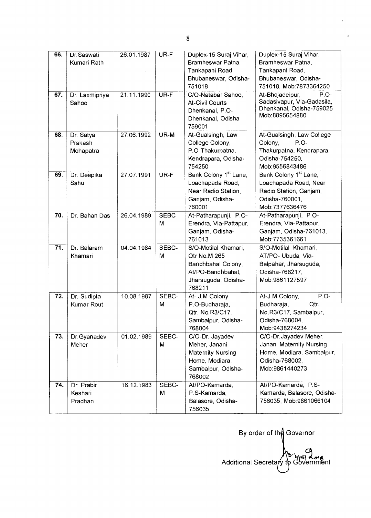| 66.<br>67. | Dr.Saswati<br>Kumari Rath<br>Dr. Laxmipriya | 26.01.1987<br>21.11.1990 | UR-F<br>UR-F | Duplex-15 Suraj Vihar,<br>Bramheswar Patna,<br>Tankapani Road,<br>Bhubaneswar, Odisha-<br>751018<br>C/O-Natabar Sahoo, | Duplex-15 Suraj Vihar,<br>Bramheswar Patna,<br>Tankapani Road,<br>Bhubaneswar, Odisha-<br>751018, Mob: 7873364250<br>At-Bhojadeipur,<br>$P.O-$ |
|------------|---------------------------------------------|--------------------------|--------------|------------------------------------------------------------------------------------------------------------------------|------------------------------------------------------------------------------------------------------------------------------------------------|
|            | Sahoo                                       |                          |              | <b>At-Civil Courts</b><br>Dhenkanal, P.O-<br>Dhenkanal, Odisha-<br>759001                                              | Sadasivapur, Via-Gadasila,<br>Dhenkanal, Odisha-759025<br>Mob: 8895654880                                                                      |
| 68.        | Dr. Satya<br>Prakash<br>Mohapatra           | 27.06.1992               | UR-M         | At-Gualsingh, Law<br>College Colony,<br>P.O-Thakurpatna,<br>Kendrapara, Odisha-<br>754250                              | At-Gualsingh, Law College<br>Colony,<br>P.O-<br>Thakurpatna, Kendrapara,<br>Odisha-754250,<br>Mob: 9556843486                                  |
| 69.        | Dr. Deepika<br>Sahu                         | 27.07.1991               | UR-F         | Bank Colony 1 <sup>st</sup> Lane,<br>Loachapada Road,<br>Near Radio Station,<br>Ganjam, Odisha-<br>760001              | Bank Colony 1 <sup>st</sup> Lane,<br>Loachapada Road, Near<br>Radio Station, Ganjam,<br>Odisha-760001,<br>Mob:7377636476                       |
| 70.        | Dr. Bahan Das                               | 26.04.1989               | SEBC-<br>M   | At-Patharapunji, P.O-<br>Erendra, Via-Pattapur,<br>Ganjam, Odisha-<br>761013                                           | At-Patharapunji, P.O-<br>Erendra, Via-Pattapur,<br>Ganjam, Odisha-761013,<br>Mob: 7735361661                                                   |
| 71.        | Dr. Balaram<br>Khamari                      | 04.04.1984               | SEBC-<br>M   | S/O-Motilal Khamari,<br>Qtr No.M 265<br>Bandhbahal Colony,<br>At/PO-Bandhbahal,<br>Jharsuguda, Odisha-<br>768211       | S/O-Motilal Khamari,<br>AT/PO- Ubuda, Via-<br>Belpahar, Jharsuguda,<br>Odisha-768217,<br>Mob:9861127597                                        |
| 72.        | Dr. Sudipta<br>Kumar Rout                   | 10.08.1987               | SEBC-<br>М   | At- J.M Colony,<br>P.O-Budharaja,<br>Qtr. No.R3/C17,<br>Sambalpur, Odisha-<br>768004                                   | P.O-<br>At-J.M Colony,<br>Budharaja,<br>Qtr.<br>No.R3/C17, Sambalpur,<br>Odisha-768004,<br>Mob: 9438274234                                     |
| 73.        | Dr.Gyanadev<br>Meher                        | 01.02.1989               | SEBC-<br>M   | C/O-Dr. Jayadev<br>Meher, Janani<br><b>Maternity Nursing</b><br>Home, Modiara,<br>Sambalpur, Odisha-<br>768002         | C/O-Dr. Jayadev Meher,<br>Janani Maternity Nursing<br>Home, Modiara, Sambalpur,<br>Odisha-768002,<br>Mob: 9861440273                           |
| 74.        | Dr. Prabir<br>Keshari<br>Pradhan            | 16.12.1983               | SEBC-<br>M   | At/PO-Kamarda,<br>P.S-Kamarda,<br>Balasore, Odisha-<br>756035                                                          | At/PO-Kamarda, P.S-<br>Kamarda, Balasore, Odisha-<br>756035, Mob:9861066104                                                                    |

By order of the Governor O Additional Secretary to Government